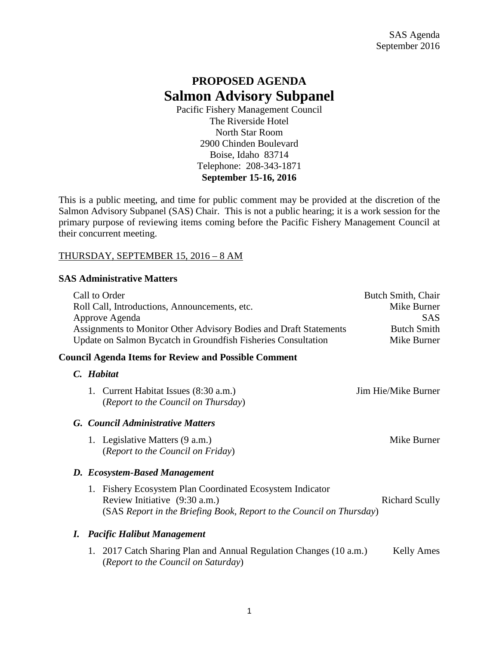## **PROPOSED AGENDA Salmon Advisory Subpanel**

Pacific Fishery Management Council The Riverside Hotel North Star Room 2900 Chinden Boulevard Boise, Idaho 83714 Telephone: 208-343-1871 **September 15-16, 2016**

This is a public meeting, and time for public comment may be provided at the discretion of the Salmon Advisory Subpanel (SAS) Chair. This is not a public hearing; it is a work session for the primary purpose of reviewing items coming before the Pacific Fishery Management Council at their concurrent meeting.

## THURSDAY, SEPTEMBER 15, 2016 – 8 AM

## **SAS Administrative Matters**

| Call to Order<br>Roll Call, Introductions, Announcements, etc.                                                                                                        | Butch Smith, Chair<br>Mike Burner |
|-----------------------------------------------------------------------------------------------------------------------------------------------------------------------|-----------------------------------|
| Approve Agenda                                                                                                                                                        | <b>SAS</b>                        |
| Assignments to Monitor Other Advisory Bodies and Draft Statements                                                                                                     | <b>Butch Smith</b>                |
| Update on Salmon Bycatch in Groundfish Fisheries Consultation                                                                                                         | Mike Burner                       |
| <b>Council Agenda Items for Review and Possible Comment</b>                                                                                                           |                                   |
| C. Habitat                                                                                                                                                            |                                   |
| Current Habitat Issues (8:30 a.m.)<br>1.<br>(Report to the Council on Thursday)                                                                                       | Jim Hie/Mike Burner               |
| G. Council Administrative Matters                                                                                                                                     |                                   |
| 1. Legislative Matters (9 a.m.)<br>(Report to the Council on Friday)                                                                                                  | Mike Burner                       |
| D. Ecosystem-Based Management                                                                                                                                         |                                   |
| Fishery Ecosystem Plan Coordinated Ecosystem Indicator<br>1.<br>Review Initiative (9:30 a.m.)<br>(SAS Report in the Briefing Book, Report to the Council on Thursday) | <b>Richard Scully</b>             |
| <b>Pacific Halibut Management</b><br>I.                                                                                                                               |                                   |
| 2017 Catch Sharing Plan and Annual Regulation Changes (10 a.m.)<br>1.<br>(Report to the Council on Saturday)                                                          | <b>Kelly Ames</b>                 |